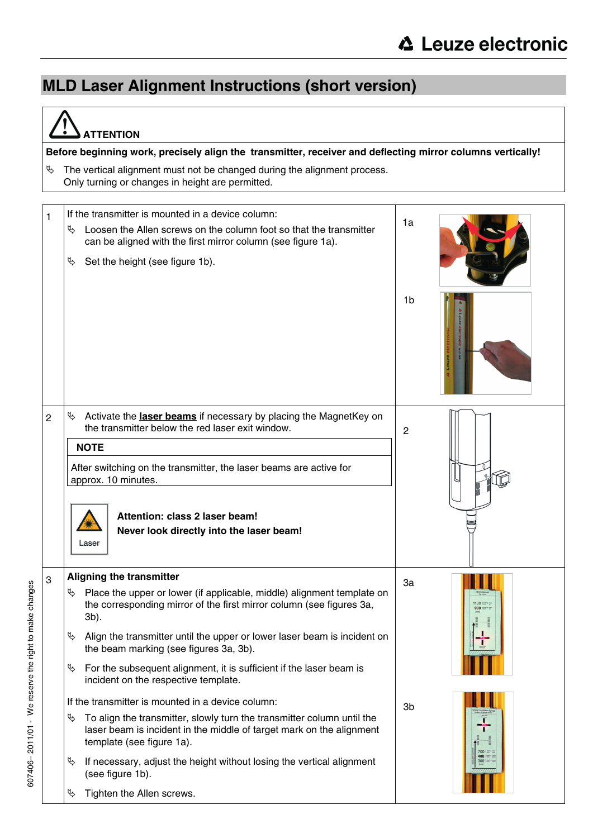## **MLD Laser Alignment Instructions (short version)**

| <b>ATTENTION</b>                                                                                                                    |                                                                                                                                                                                                                                                                                                                                                                                                                                                                                                                                                                                                                                                                                                                                                                                                                                  |                                                                                            |  |  |
|-------------------------------------------------------------------------------------------------------------------------------------|----------------------------------------------------------------------------------------------------------------------------------------------------------------------------------------------------------------------------------------------------------------------------------------------------------------------------------------------------------------------------------------------------------------------------------------------------------------------------------------------------------------------------------------------------------------------------------------------------------------------------------------------------------------------------------------------------------------------------------------------------------------------------------------------------------------------------------|--------------------------------------------------------------------------------------------|--|--|
| Before beginning work, precisely align the transmitter, receiver and deflecting mirror columns vertically!                          |                                                                                                                                                                                                                                                                                                                                                                                                                                                                                                                                                                                                                                                                                                                                                                                                                                  |                                                                                            |  |  |
| The vertical alignment must not be changed during the alignment process.<br>IS.<br>Only turning or changes in height are permitted. |                                                                                                                                                                                                                                                                                                                                                                                                                                                                                                                                                                                                                                                                                                                                                                                                                                  |                                                                                            |  |  |
| 1                                                                                                                                   | If the transmitter is mounted in a device column:<br>Þ,<br>Loosen the Allen screws on the column foot so that the transmitter<br>can be aligned with the first mirror column (see figure 1a).<br>Þ,<br>Set the height (see figure 1b).                                                                                                                                                                                                                                                                                                                                                                                                                                                                                                                                                                                           | 1a                                                                                         |  |  |
|                                                                                                                                     |                                                                                                                                                                                                                                                                                                                                                                                                                                                                                                                                                                                                                                                                                                                                                                                                                                  | 1b                                                                                         |  |  |
| $\overline{2}$                                                                                                                      | Activate the laser beams if necessary by placing the MagnetKey on<br>₩<br>the transmitter below the red laser exit window.<br><b>NOTE</b><br>After switching on the transmitter, the laser beams are active for<br>approx. 10 minutes.<br>Attention: class 2 laser beam!<br>Never look directly into the laser beam!<br>Laser                                                                                                                                                                                                                                                                                                                                                                                                                                                                                                    | $\overline{2}$                                                                             |  |  |
| 3                                                                                                                                   | <b>Aligning the transmitter</b><br>Place the upper or lower (if applicable, middle) alignment template on<br>D.<br>the corresponding mirror of the first mirror column (see figures 3a,<br>3b).<br>Ψ<br>Align the transmitter until the upper or lower laser beam is incident on<br>the beam marking (see figures 3a, 3b).<br>Ψ<br>For the subsequent alignment, it is sufficient if the laser beam is<br>incident on the respective template.<br>If the transmitter is mounted in a device column:<br>Ψ<br>To align the transmitter, slowly turn the transmitter column until the<br>laser beam is incident in the middle of target mark on the alignment<br>template (see figure 1a).<br>If necessary, adjust the height without losing the vertical alignment<br>É<br>(see figure 1b).<br>$\phi$<br>Tighten the Allen screws. | 3a<br>1100 2mm<br>900<br>3 <sub>b</sub><br><b>700 htms</b><br>400 300mg pm<br>300 https:// |  |  |

 $\overline{a}$